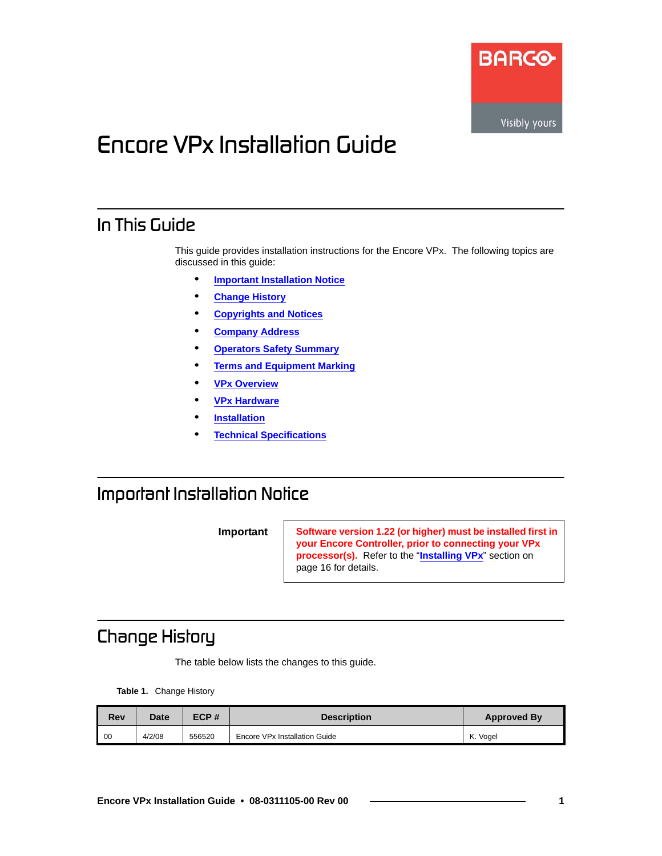

# *båÅçêÉ=smñ=fåëí~ää~íáçå=dìáÇÉ*

### *få=qÜáë=dìáÇÉ*

This guide provides installation instructions for the Encore VPx. The following topics are discussed in this guide:

- **• [Important Installation Notice](#page-0-1)**
- **• [Change History](#page-0-0)**
- **• [Copyrights and Notices](#page-1-0)**
- **• [Company Address](#page-2-0)**
- **• [Operators Safety Summary](#page-3-0)**
- **• [Terms and Equipment Marking](#page-4-0)**
- **• [VPx Overview](#page-5-0)**
- **• [VPx Hardware](#page-7-0)**
- **• [Installation](#page-14-0)**
- **• [Technical Specifications](#page-27-0)**

## <span id="page-0-1"></span>*fãéçêí~åí=fåëí~ää~íáçå=kçíáÅÉ==*

**Important Software version 1.22 (or higher) must be installed first in your Encore Controller, prior to connecting your VPx processor(s).** Refer to the "**[Installing VPx](#page-15-0)**" section on [page 16](#page-15-0) for details.

# <span id="page-0-0"></span>*`Ü~åÖÉ=eáëíçêó*

The table below lists the changes to this guide.

**Table 1.** Change History

| <b>Rev</b> | Date   | ECP#   | <b>Description</b>            | <b>Approved By</b> |
|------------|--------|--------|-------------------------------|--------------------|
| 00         | 4/2/08 | 556520 | Encore VPx Installation Guide | K. Vogel           |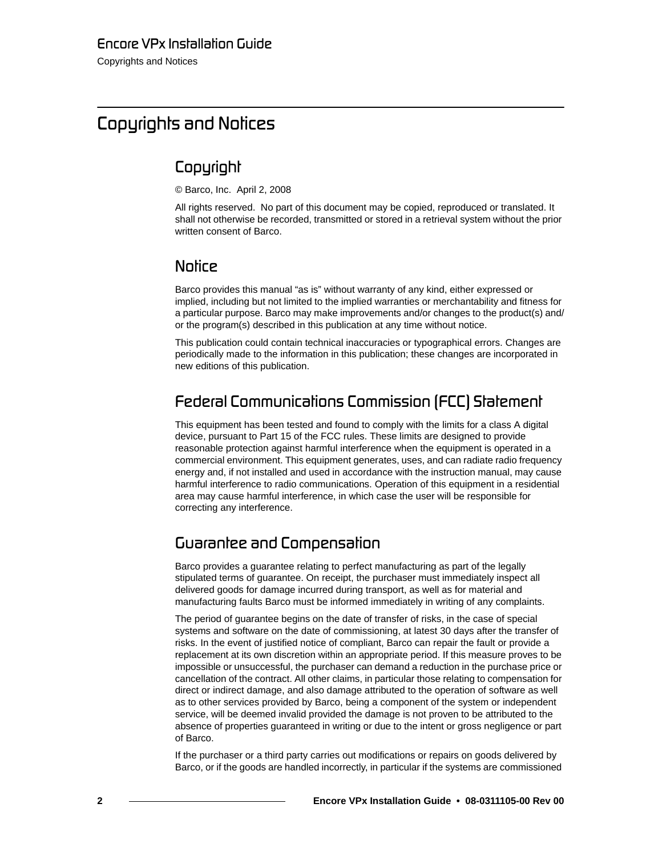## <span id="page-1-0"></span>*`çéóêáÖÜíë=~åÇ=kçíáÅÉë*

### *`çéóêáÖÜí*

© Barco, Inc. April 2, 2008

All rights reserved. No part of this document may be copied, reproduced or translated. It shall not otherwise be recorded, transmitted or stored in a retrieval system without the prior written consent of Barco.

### *kçíáÅÉ*

Barco provides this manual "as is" without warranty of any kind, either expressed or implied, including but not limited to the implied warranties or merchantability and fitness for a particular purpose. Barco may make improvements and/or changes to the product(s) and/ or the program(s) described in this publication at any time without notice.

This publication could contain technical inaccuracies or typographical errors. Changes are periodically made to the information in this publication; these changes are incorporated in new editions of this publication.

### **Federal Communications Commission (FCC) Statement**

This equipment has been tested and found to comply with the limits for a class A digital device, pursuant to Part 15 of the FCC rules. These limits are designed to provide reasonable protection against harmful interference when the equipment is operated in a commercial environment. This equipment generates, uses, and can radiate radio frequency energy and, if not installed and used in accordance with the instruction manual, may cause harmful interference to radio communications. Operation of this equipment in a residential area may cause harmful interference, in which case the user will be responsible for correcting any interference.

### **Guaranlee and Compensalion**

Barco provides a guarantee relating to perfect manufacturing as part of the legally stipulated terms of guarantee. On receipt, the purchaser must immediately inspect all delivered goods for damage incurred during transport, as well as for material and manufacturing faults Barco must be informed immediately in writing of any complaints.

The period of guarantee begins on the date of transfer of risks, in the case of special systems and software on the date of commissioning, at latest 30 days after the transfer of risks. In the event of justified notice of compliant, Barco can repair the fault or provide a replacement at its own discretion within an appropriate period. If this measure proves to be impossible or unsuccessful, the purchaser can demand a reduction in the purchase price or cancellation of the contract. All other claims, in particular those relating to compensation for direct or indirect damage, and also damage attributed to the operation of software as well as to other services provided by Barco, being a component of the system or independent service, will be deemed invalid provided the damage is not proven to be attributed to the absence of properties guaranteed in writing or due to the intent or gross negligence or part of Barco.

If the purchaser or a third party carries out modifications or repairs on goods delivered by Barco, or if the goods are handled incorrectly, in particular if the systems are commissioned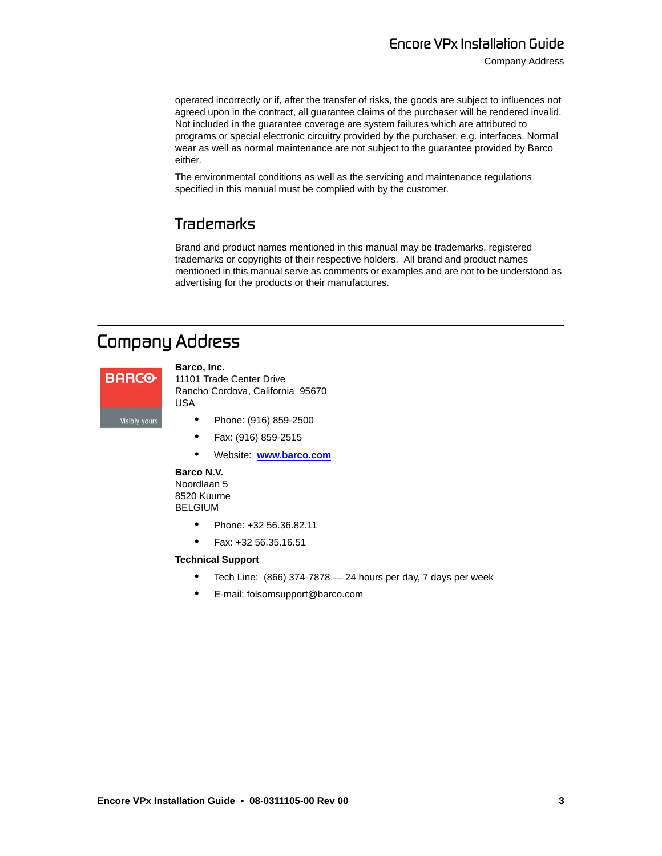Company Address

operated incorrectly or if, after the transfer of risks, the goods are subject to influences not agreed upon in the contract, all guarantee claims of the purchaser will be rendered invalid. Not included in the guarantee coverage are system failures which are attributed to programs or special electronic circuitry provided by the purchaser, e.g. interfaces. Normal wear as well as normal maintenance are not subject to the guarantee provided by Barco either.

The environmental conditions as well as the servicing and maintenance regulations specified in this manual must be complied with by the customer.

### *qê~ÇÉã~êâë*

Brand and product names mentioned in this manual may be trademarks, registered trademarks or copyrights of their respective holders. All brand and product names mentioned in this manual serve as comments or examples and are not to be understood as advertising for the products or their manufactures.

### <span id="page-2-0"></span>**Company Address**



**Barco, Inc.** 11101 Trade Center Drive

Rancho Cordova, California 95670 USA

- **•** Phone: (916) 859-2500
- **•** Fax: (916) 859-2515
- **•** Website: **[www.barco.com](http://www.barco.com)**

#### **Barco N.V.**

Noordlaan 5 8520 Kuurne BELGIUM

- **•** Phone: +32 56.36.82.11
- **•** Fax: +32 56.35.16.51

#### **Technical Support**

- **•** Tech Line: (866) 374-7878 24 hours per day, 7 days per week
- **•** E-mail: folsomsupport@barco.com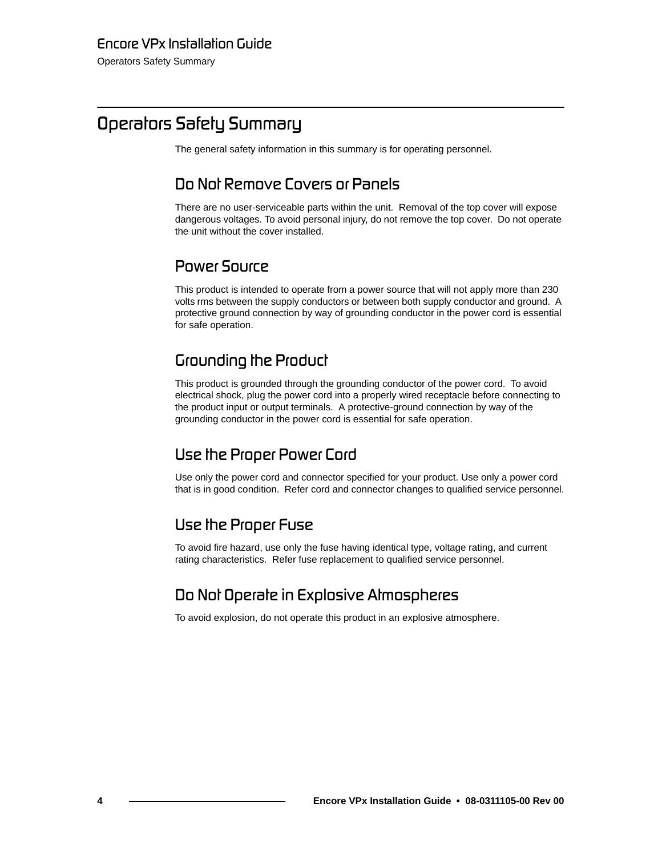# <span id="page-3-0"></span>**Operators Safety Summary**

The general safety information in this summary is for operating personnel.

### *aç=kçí=oÉãçîÉ=`çîÉêë=çê=m~åÉäë*

There are no user-serviceable parts within the unit. Removal of the top cover will expose dangerous voltages. To avoid personal injury, do not remove the top cover. Do not operate the unit without the cover installed.

### **Power Source**

This product is intended to operate from a power source that will not apply more than 230 volts rms between the supply conductors or between both supply conductor and ground. A protective ground connection by way of grounding conductor in the power cord is essential for safe operation.

### *Grounding the Product*

This product is grounded through the grounding conductor of the power cord. To avoid electrical shock, plug the power cord into a properly wired receptacle before connecting to the product input or output terminals. A protective-ground connection by way of the grounding conductor in the power cord is essential for safe operation.

### **Use the Proper Power Cord**

Use only the power cord and connector specified for your product. Use only a power cord that is in good condition. Refer cord and connector changes to qualified service personnel.

### **Use the Proper Fuse**

To avoid fire hazard, use only the fuse having identical type, voltage rating, and current rating characteristics. Refer fuse replacement to qualified service personnel.

### **Do Not Operate in Explosive Atmospheres**

To avoid explosion, do not operate this product in an explosive atmosphere.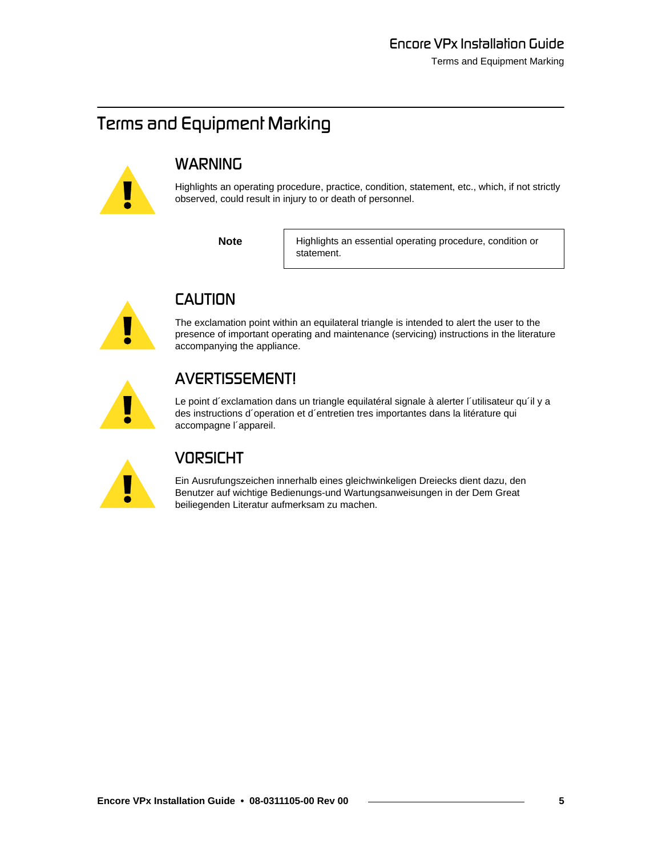# <span id="page-4-0"></span>**Terms and Equipment Marking**



# **WARNING**

Highlights an operating procedure, practice, condition, statement, etc., which, if not strictly observed, could result in injury to or death of personnel.

**Note** Highlights an essential operating procedure, condition or statement.



# $CAUTION$

The exclamation point within an equilateral triangle is intended to alert the user to the presence of important operating and maintenance (servicing) instructions in the literature accompanying the appliance.

# *^sboqfppbjbkq>*

Le point d'exclamation dans un triangle equilatéral signale à alerter l'utilisateur qu'il y a des instructions d´operation et d´entretien tres importantes dans la litérature qui accompagne l´appareil.



## **VORSICHT**

Ein Ausrufungszeichen innerhalb eines gleichwinkeligen Dreiecks dient dazu, den Benutzer auf wichtige Bedienungs-und Wartungsanweisungen in der Dem Great beiliegenden Literatur aufmerksam zu machen.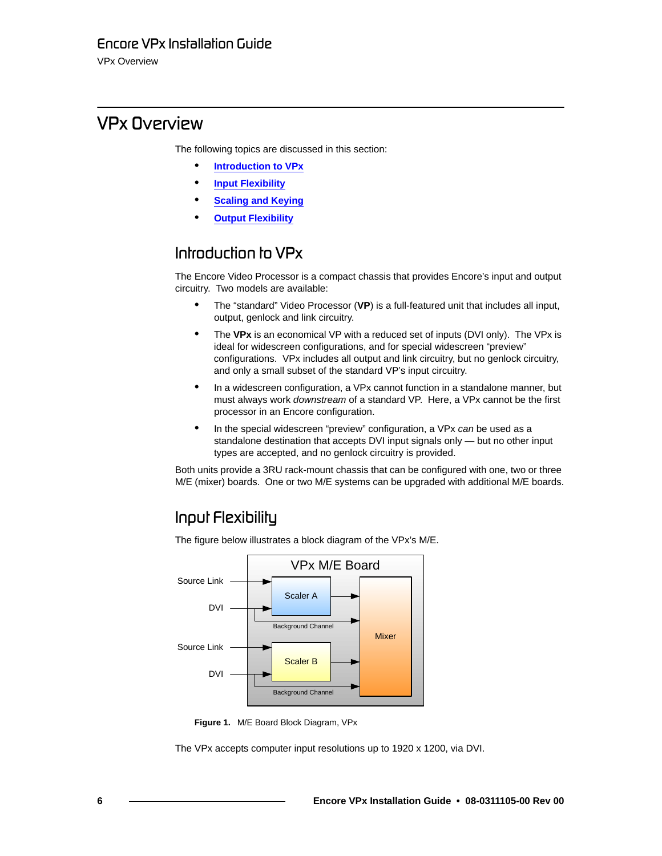VPx Overview

# <span id="page-5-0"></span>**VPx Overview**

The following topics are discussed in this section:

- **• [Introduction to VPx](#page-5-1)**
- **• [Input Flexibility](#page-5-2)**
- **• [Scaling and Keying](#page-6-0)**
- **• [Output Flexibility](#page-6-1)**

### <span id="page-5-1"></span>*fåíêçÇìÅíáçå=íç=smñ*

The Encore Video Processor is a compact chassis that provides Encore's input and output circuitry. Two models are available:

- **•** The "standard" Video Processor (**VP**) is a full-featured unit that includes all input, output, genlock and link circuitry.
- **•** The **VPx** is an economical VP with a reduced set of inputs (DVI only). The VPx is ideal for widescreen configurations, and for special widescreen "preview" configurations. VPx includes all output and link circuitry, but no genlock circuitry, and only a small subset of the standard VP's input circuitry.
- **•** In a widescreen configuration, a VPx cannot function in a standalone manner, but must always work *downstream* of a standard VP. Here, a VPx cannot be the first processor in an Encore configuration.
- **•** In the special widescreen "preview" configuration, a VPx *can* be used as a standalone destination that accepts DVI input signals only — but no other input types are accepted, and no genlock circuitry is provided.

Both units provide a 3RU rack-mount chassis that can be configured with one, two or three M/E (mixer) boards. One or two M/E systems can be upgraded with additional M/E boards.

### <span id="page-5-2"></span>*fåéìí=cäÉñáÄáäáíó*

The figure below illustrates a block diagram of the VPx's M/E.



**Figure 1.** M/E Board Block Diagram, VPx

The VPx accepts computer input resolutions up to 1920 x 1200, via DVI.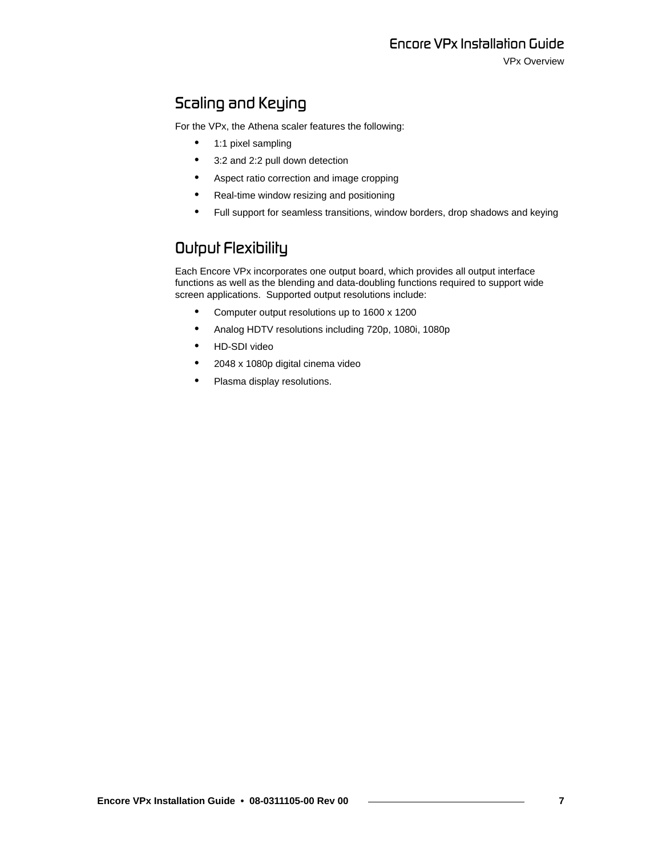### <span id="page-6-0"></span>**Scaling and Keying**

For the VPx, the Athena scaler features the following:

- **•** 1:1 pixel sampling
- **•** 3:2 and 2:2 pull down detection
- **•** Aspect ratio correction and image cropping
- **•** Real-time window resizing and positioning
- **•** Full support for seamless transitions, window borders, drop shadows and keying

### <span id="page-6-1"></span>**Output Flexibility**

Each Encore VPx incorporates one output board, which provides all output interface functions as well as the blending and data-doubling functions required to support wide screen applications. Supported output resolutions include:

- **•** Computer output resolutions up to 1600 x 1200
- **•** Analog HDTV resolutions including 720p, 1080i, 1080p
- **•** HD-SDI video
- **•** 2048 x 1080p digital cinema video
- **•** Plasma display resolutions.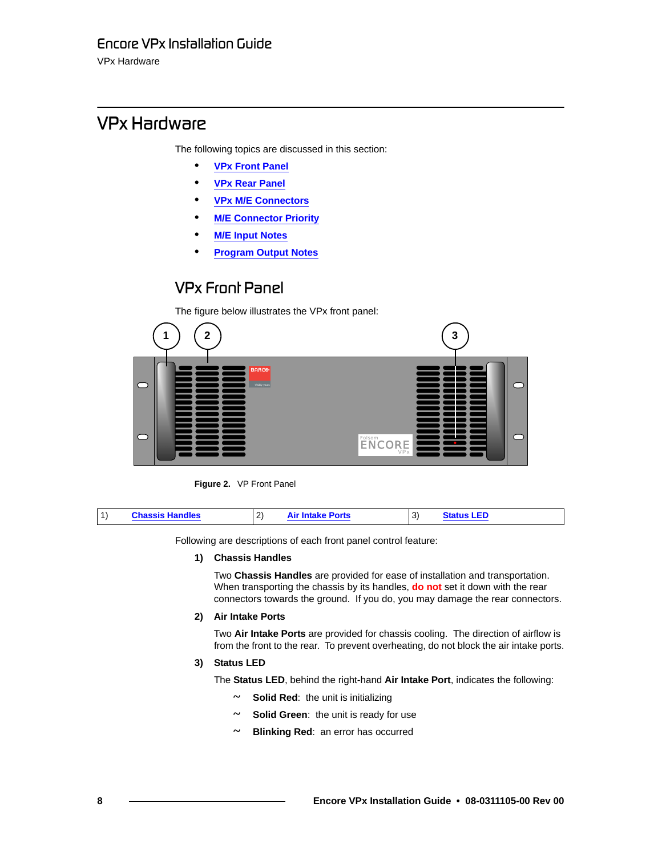VPx Hardware

# <span id="page-7-0"></span>*smñ=e~êÇï~êÉ*

The following topics are discussed in this section:

- **• [VPx Front Panel](#page-7-1)**
- **• [VPx Rear Panel](#page-8-0)**
- **• [VPx M/E Connectors](#page-11-0)**
- **• [M/E Connector Priority](#page-12-0)**
- **• [M/E Input Notes](#page-13-1)**
- **• [Program Output Notes](#page-13-0)**

### <span id="page-7-1"></span>*smñ=cêçåí=m~åÉä*

The figure below illustrates the VPx front panel:



**Figure 2.** VP Front Panel

|  | l 1' | <b>Chassis Handles</b> | $\sim$<br>$\epsilon$ | <b>Intake Ports</b> | વ<br>' پ | I EF |
|--|------|------------------------|----------------------|---------------------|----------|------|
|--|------|------------------------|----------------------|---------------------|----------|------|

Following are descriptions of each front panel control feature:

#### **1) Chassis Handles**

Two **Chassis Handles** are provided for ease of installation and transportation. When transporting the chassis by its handles, **do not** set it down with the rear connectors towards the ground. If you do, you may damage the rear connectors.

### **2) Air Intake Ports**

Two **Air Intake Ports** are provided for chassis cooling. The direction of airflow is from the front to the rear. To prevent overheating, do not block the air intake ports.

### **3) Status LED**

The **Status LED**, behind the right-hand **Air Intake Port**, indicates the following:

- **~ Solid Red**: the unit is initializing
- **~ Solid Green**: the unit is ready for use
- **~ Blinking Red**: an error has occurred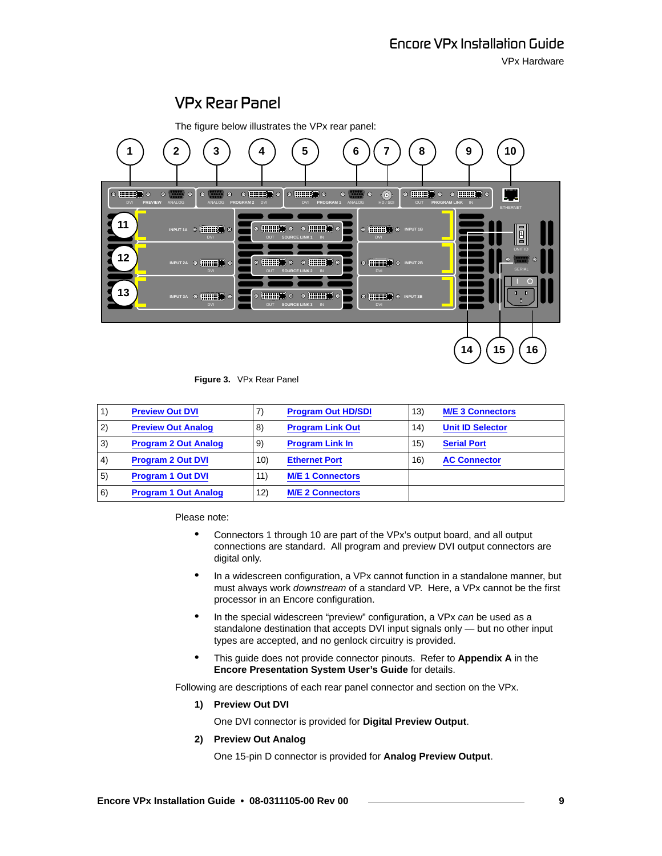

### <span id="page-8-0"></span>*smñ=oÉ~ê=m~åÉä*

**Figure 3.** VPx Rear Panel

|    | <b>Preview Out DVI</b>      | 7)  | <b>Program Out HD/SDI</b> | 13) | <b>M/E 3 Connectors</b> |
|----|-----------------------------|-----|---------------------------|-----|-------------------------|
| 2) | <b>Preview Out Analog</b>   | 8)  | <b>Program Link Out</b>   | 14) | <b>Unit ID Selector</b> |
| 3) | <b>Program 2 Out Analog</b> | 9)  | <b>Program Link In</b>    | 15) | <b>Serial Port</b>      |
| 4) | <b>Program 2 Out DVI</b>    | 10) | <b>Ethernet Port</b>      | 16) | <b>AC Connector</b>     |
| 5) | <b>Program 1 Out DVI</b>    | 11) | <b>M/E 1 Connectors</b>   |     |                         |
| 6) | <b>Program 1 Out Analog</b> | 12) | <b>M/E 2 Connectors</b>   |     |                         |

Please note:

- **•** Connectors 1 through 10 are part of the VPx's output board, and all output connections are standard. All program and preview DVI output connectors are digital only.
- **•** In a widescreen configuration, a VPx cannot function in a standalone manner, but must always work *downstream* of a standard VP. Here, a VPx cannot be the first processor in an Encore configuration.
- **•** In the special widescreen "preview" configuration, a VPx *can* be used as a standalone destination that accepts DVI input signals only — but no other input types are accepted, and no genlock circuitry is provided.
- **•** This guide does not provide connector pinouts. Refer to **Appendix A** in the **Encore Presentation System User's Guide** for details.

Following are descriptions of each rear panel connector and section on the VPx.

**1) Preview Out DVI**

One DVI connector is provided for **Digital Preview Output**.

### **2) Preview Out Analog**

One 15-pin D connector is provided for **Analog Preview Output**.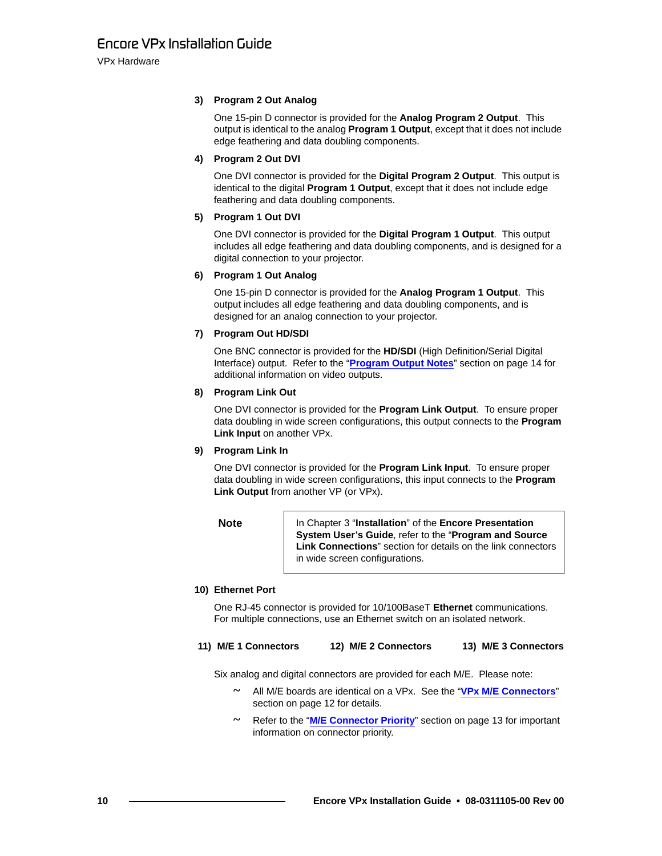VPx Hardware

### **3) Program 2 Out Analog**

One 15-pin D connector is provided for the **Analog Program 2 Output**. This output is identical to the analog **Program 1 Output**, except that it does not include edge feathering and data doubling components.

### **4) Program 2 Out DVI**

One DVI connector is provided for the **Digital Program 2 Output**. This output is identical to the digital **Program 1 Output**, except that it does not include edge feathering and data doubling components.

### **5) Program 1 Out DVI**

One DVI connector is provided for the **Digital Program 1 Output**. This output includes all edge feathering and data doubling components, and is designed for a digital connection to your projector.

### **6) Program 1 Out Analog**

One 15-pin D connector is provided for the **Analog Program 1 Output**. This output includes all edge feathering and data doubling components, and is designed for an analog connection to your projector.

### **7) Program Out HD/SDI**

One BNC connector is provided for the **HD/SDI** (High Definition/Serial Digital Interface) output. Refer to the "**[Program Output Notes](#page-13-0)**" section on [page 14](#page-13-0) for additional information on video outputs.

### **8) Program Link Out**

One DVI connector is provided for the **Program Link Output**. To ensure proper data doubling in wide screen configurations, this output connects to the **Program Link Input** on another VPx.

### **9) Program Link In**

One DVI connector is provided for the **Program Link Input**. To ensure proper data doubling in wide screen configurations, this input connects to the **Program Link Output** from another VP (or VPx).

**Note** In Chapter 3 "**Installation**" of the **Encore Presentation System User's Guide**, refer to the "**Program and Source Link Connections**" section for details on the link connectors in wide screen configurations.

### **10) Ethernet Port**

One RJ-45 connector is provided for 10/100BaseT **Ethernet** communications. For multiple connections, use an Ethernet switch on an isolated network.

### **11) M/E 1 Connectors 12) M/E 2 Connectors 13) M/E 3 Connectors**

Six analog and digital connectors are provided for each M/E. Please note:

- **~** All M/E boards are identical on a VPx. See the "**[VPx M/E Connectors](#page-11-0)**" section on [page 12](#page-11-0) for details.
- **~** Refer to the "**[M/E Connector Priority](#page-12-0)**" section on [page 13](#page-12-0) for important information on connector priority.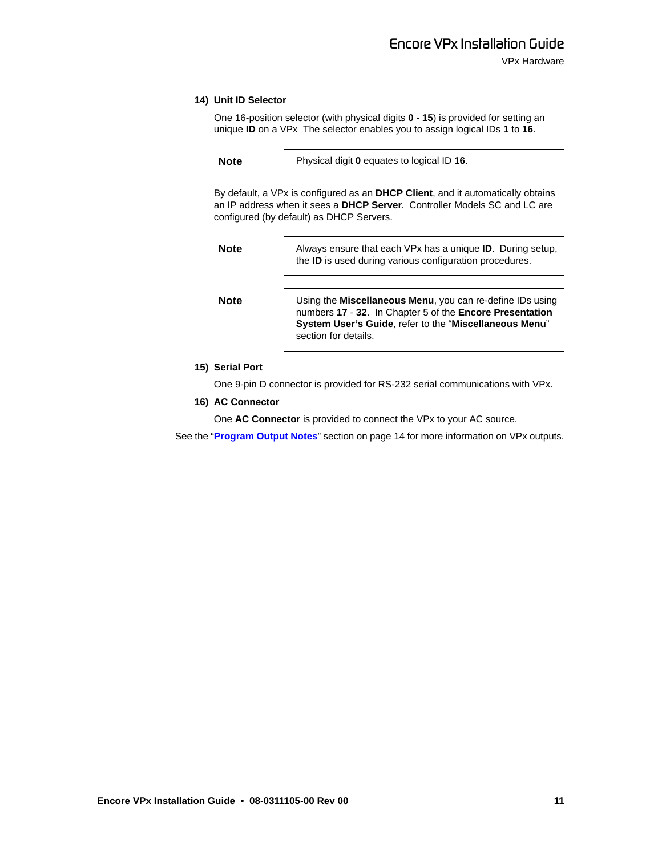#### **14) Unit ID Selector**

One 16-position selector (with physical digits **0** - **15**) is provided for setting an unique **ID** on a VPx The selector enables you to assign logical IDs **1** to **16**.

**Note** Physical digit **0** equates to logical ID **16**.

By default, a VPx is configured as an **DHCP Client**, and it automatically obtains an IP address when it sees a **DHCP Server**. Controller Models SC and LC are configured (by default) as DHCP Servers.

**Note** Always ensure that each VPx has a unique **ID**. During setup, the **ID** is used during various configuration procedures.

**Note** Using the **Miscellaneous Menu**, you can re-define IDs using numbers **17** - **32**. In Chapter 5 of the **Encore Presentation System User's Guide**, refer to the "**Miscellaneous Menu**" section for details.

#### **15) Serial Port**

One 9-pin D connector is provided for RS-232 serial communications with VPx.

#### **16) AC Connector**

One **AC Connector** is provided to connect the VPx to your AC source.

See the "**[Program Output Notes](#page-13-0)**" section on [page 14](#page-13-0) for more information on VPx outputs.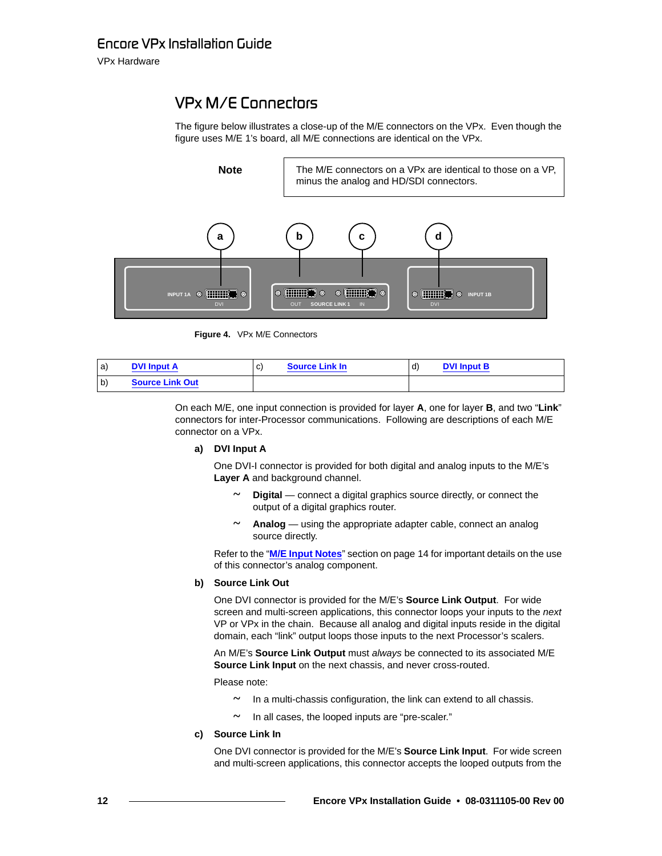VPx Hardware

## <span id="page-11-0"></span>*smñ=jLb=`çååÉÅíçêë*

The figure below illustrates a close-up of the M/E connectors on the VPx. Even though the figure uses M/E 1's board, all M/E connections are identical on the VPx.



**Figure 4.** VPx M/E Connectors

| a            | <b>DVI Input A</b>     | C) | <b>Source Link In</b> | ď. | <b>DVI Input B</b> |
|--------------|------------------------|----|-----------------------|----|--------------------|
| $\mathsf{b}$ | <b>Source Link Out</b> |    |                       |    |                    |

On each M/E, one input connection is provided for layer **A**, one for layer **B**, and two "**Link**" connectors for inter-Processor communications. Following are descriptions of each M/E connector on a VPx.

#### **a) DVI Input A**

One DVI-I connector is provided for both digital and analog inputs to the M/E's **Layer A** and background channel.

- **~ Digital** connect a digital graphics source directly, or connect the output of a digital graphics router.
- **~ Analog** using the appropriate adapter cable, connect an analog source directly.

Refer to the "**[M/E Input Notes](#page-13-1)**" section on [page 14](#page-13-1) for important details on the use of this connector's analog component.

#### **b) Source Link Out**

One DVI connector is provided for the M/E's **Source Link Output**. For wide screen and multi-screen applications, this connector loops your inputs to the *next* VP or VPx in the chain. Because all analog and digital inputs reside in the digital domain, each "link" output loops those inputs to the next Processor's scalers.

An M/E's **Source Link Output** must *always* be connected to its associated M/E **Source Link Input** on the next chassis, and never cross-routed.

Please note:

- **~** In a multi-chassis configuration, the link can extend to all chassis.
- **~** In all cases, the looped inputs are "pre-scaler."
- **c) Source Link In**

One DVI connector is provided for the M/E's **Source Link Input**. For wide screen and multi-screen applications, this connector accepts the looped outputs from the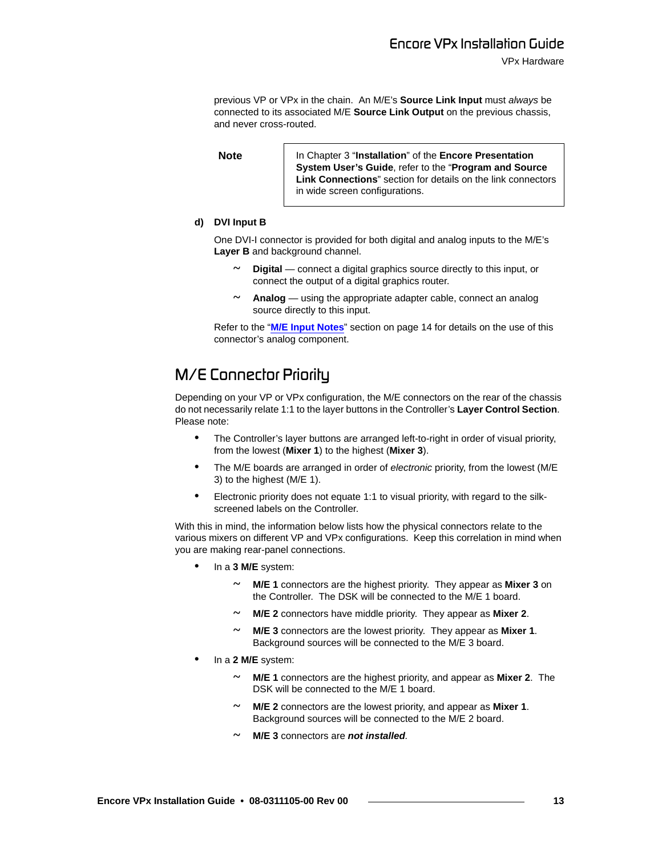previous VP or VPx in the chain. An M/E's **Source Link Input** must *always* be connected to its associated M/E **Source Link Output** on the previous chassis, and never cross-routed.

**Note** In Chapter 3 "Installation" of the **Encore Presentation System User's Guide**, refer to the "**Program and Source Link Connections**" section for details on the link connectors in wide screen configurations.

#### **d) DVI Input B**

One DVI-I connector is provided for both digital and analog inputs to the M/E's **Layer B** and background channel.

- **~ Digital** connect a digital graphics source directly to this input, or connect the output of a digital graphics router.
- **~ Analog** using the appropriate adapter cable, connect an analog source directly to this input.

Refer to the "**[M/E Input Notes](#page-13-1)**" section on [page 14](#page-13-1) for details on the use of this connector's analog component.

### <span id="page-12-0"></span>*M/E* Connector Priority

Depending on your VP or VPx configuration, the M/E connectors on the rear of the chassis do not necessarily relate 1:1 to the layer buttons in the Controller's **Layer Control Section**. Please note:

- **•** The Controller's layer buttons are arranged left-to-right in order of visual priority, from the lowest (**Mixer 1**) to the highest (**Mixer 3**).
- **•** The M/E boards are arranged in order of *electronic* priority, from the lowest (M/E 3) to the highest (M/E 1).
- **•** Electronic priority does not equate 1:1 to visual priority, with regard to the silkscreened labels on the Controller.

With this in mind, the information below lists how the physical connectors relate to the various mixers on different VP and VPx configurations. Keep this correlation in mind when you are making rear-panel connections.

- **•** In a **3 M/E** system:
	- **~ M/E 1** connectors are the highest priority. They appear as **Mixer 3** on the Controller. The DSK will be connected to the M/E 1 board.
	- **~ M/E 2** connectors have middle priority. They appear as **Mixer 2**.
	- **~ M/E 3** connectors are the lowest priority. They appear as **Mixer 1**. Background sources will be connected to the M/E 3 board.
- **•** In a **2 M/E** system:
	- **~ M/E 1** connectors are the highest priority, and appear as **Mixer 2**. The DSK will be connected to the M/E 1 board.
	- **~ M/E 2** connectors are the lowest priority, and appear as **Mixer 1**. Background sources will be connected to the M/E 2 board.
	- **~ M/E 3** connectors are *not installed.*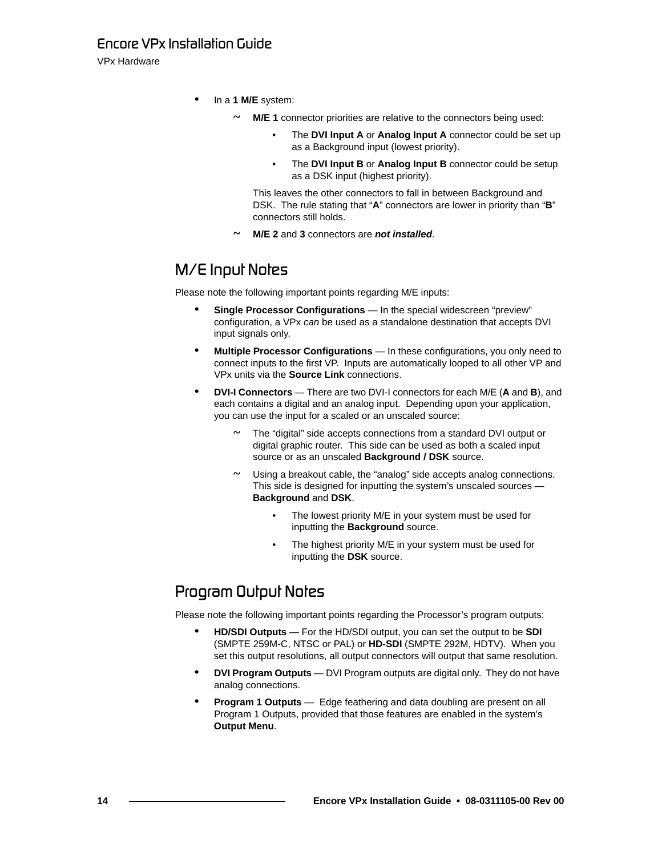### *båÅçêÉ=smñ=fåëí~ää~íáçå=dìáÇÉ*

VPx Hardware

- **•** In a **1 M/E** system:
	- **~ M/E 1** connector priorities are relative to the connectors being used:
		- The **DVI Input A** or **Analog Input A** connector could be set up as a Background input (lowest priority).
		- The **DVI Input B** or **Analog Input B** connector could be setup as a DSK input (highest priority).

This leaves the other connectors to fall in between Background and DSK. The rule stating that "**A**" connectors are lower in priority than "**B**" connectors still holds.

**~ M/E 2** and **3** connectors are *not installed.*

### <span id="page-13-1"></span>*M/E* Input Notes

Please note the following important points regarding M/E inputs:

- **• Single Processor Configurations** In the special widescreen "preview" configuration, a VPx *can* be used as a standalone destination that accepts DVI input signals only.
- **• Multiple Processor Configurations** In these configurations, you only need to connect inputs to the first VP. Inputs are automatically looped to all other VP and VPx units via the **Source Link** connections.
- **• DVI-I Connectors** There are two DVI-I connectors for each M/E (**A** and **B**), and each contains a digital and an analog input. Depending upon your application, you can use the input for a scaled or an unscaled source:
	- **~** The "digital" side accepts connections from a standard DVI output or digital graphic router. This side can be used as both a scaled input source or as an unscaled **Background / DSK** source.
	- **~** Using a breakout cable, the "analog" side accepts analog connections. This side is designed for inputting the system's unscaled sources — **Background** and **DSK**.
		- The lowest priority M/E in your system must be used for inputting the **Background** source.
		- The highest priority M/E in your system must be used for inputting the **DSK** source.

### <span id="page-13-0"></span>**Program Output Notes**

Please note the following important points regarding the Processor's program outputs:

- **• HD/SDI Outputs** For the HD/SDI output, you can set the output to be **SDI** (SMPTE 259M-C, NTSC or PAL) or **HD-SDI** (SMPTE 292M, HDTV). When you set this output resolutions, all output connectors will output that same resolution.
- **• DVI Program Outputs** DVI Program outputs are digital only. They do not have analog connections.
- **• Program 1 Outputs** Edge feathering and data doubling are present on all Program 1 Outputs, provided that those features are enabled in the system's **Output Menu**.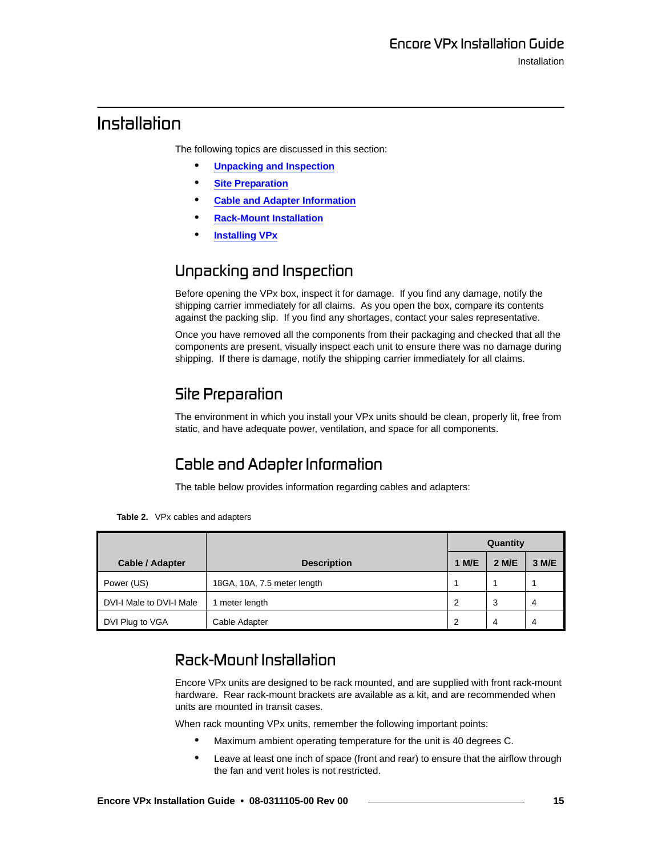### <span id="page-14-0"></span>*fåëí~ää~íáçå*

The following topics are discussed in this section:

- **• [Unpacking and Inspection](#page-14-2)**
- **• [Site Preparation](#page-14-3)**
- **• [Cable and Adapter Information](#page-14-4)**
- **• [Rack-Mount Installation](#page-14-1)**
- **• [Installing VPx](#page-15-0)**

### <span id="page-14-2"></span>**U**npacking and Inspection

Before opening the VPx box, inspect it for damage. If you find any damage, notify the shipping carrier immediately for all claims. As you open the box, compare its contents against the packing slip. If you find any shortages, contact your sales representative.

Once you have removed all the components from their packaging and checked that all the components are present, visually inspect each unit to ensure there was no damage during shipping. If there is damage, notify the shipping carrier immediately for all claims.

### <span id="page-14-3"></span>**Siłe Preparation**

The environment in which you install your VPx units should be clean, properly lit, free from static, and have adequate power, ventilation, and space for all components.

## <span id="page-14-4"></span>**Cable and Adapter Information**

The table below provides information regarding cables and adapters:

**Table 2.** VPx cables and adapters

|                          |                             |       | Quantity |       |  |
|--------------------------|-----------------------------|-------|----------|-------|--|
| Cable / Adapter          | <b>Description</b>          | 1 M/E | 2 M/E    | 3 M/E |  |
| Power (US)               | 18GA, 10A, 7.5 meter length |       |          |       |  |
| DVI-I Male to DVI-I Male | 1 meter length              | 2     | 3        | 4     |  |
| DVI Plug to VGA          | Cable Adapter               | 2     | 4        | 4     |  |

### <span id="page-14-1"></span>*o~ÅâJjçìåí=fåëí~ää~íáçå*

Encore VPx units are designed to be rack mounted, and are supplied with front rack-mount hardware. Rear rack-mount brackets are available as a kit, and are recommended when units are mounted in transit cases.

When rack mounting VPx units, remember the following important points:

- **•** Maximum ambient operating temperature for the unit is 40 degrees C.
- **•** Leave at least one inch of space (front and rear) to ensure that the airflow through the fan and vent holes is not restricted.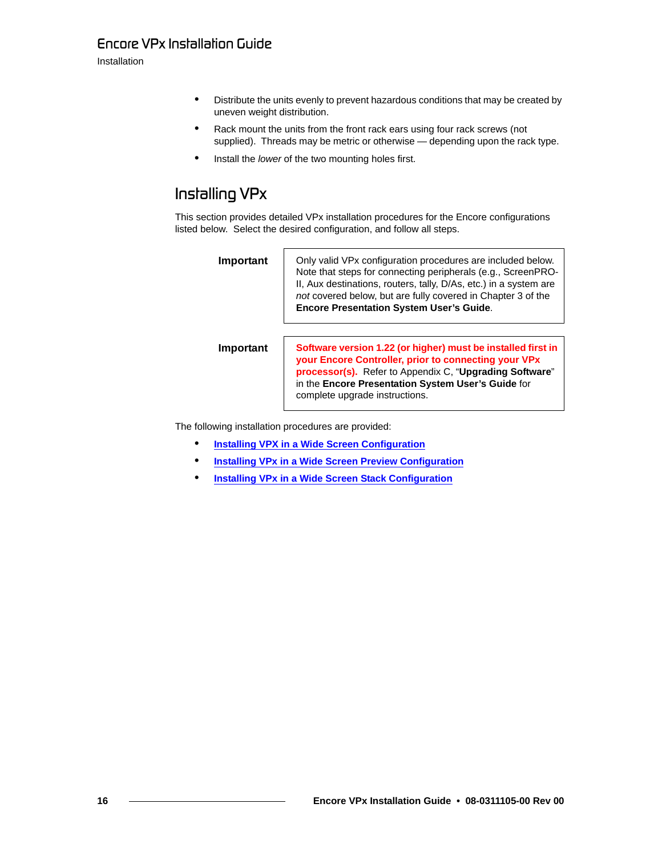Installation

- **•** Distribute the units evenly to prevent hazardous conditions that may be created by uneven weight distribution.
- **•** Rack mount the units from the front rack ears using four rack screws (not supplied). Threads may be metric or otherwise — depending upon the rack type.
- **•** Install the *lower* of the two mounting holes first.

## <span id="page-15-0"></span>*Installing* VPx

This section provides detailed VPx installation procedures for the Encore configurations listed below. Select the desired configuration, and follow all steps.

**Important** | Only valid VPx configuration procedures are included below. Note that steps for connecting peripherals (e.g., ScreenPRO-II, Aux destinations, routers, tally, D/As, etc.) in a system are *not* covered below, but are fully covered in Chapter 3 of the **Encore Presentation System User's Guide**.

**Important Software version 1.22 (or higher) must be installed first in your Encore Controller, prior to connecting your VPx processor(s).** Refer to Appendix C, "**Upgrading Software**" in the **Encore Presentation System User's Guide** for complete upgrade instructions.

The following installation procedures are provided:

- **• [Installing VPX in a Wide Screen Configuration](#page-16-0)**
- **• [Installing VPx in a Wide Screen Preview Configuration](#page-19-0)**
- **• [Installing VPx in a Wide Screen Stack Configuration](#page-22-0)**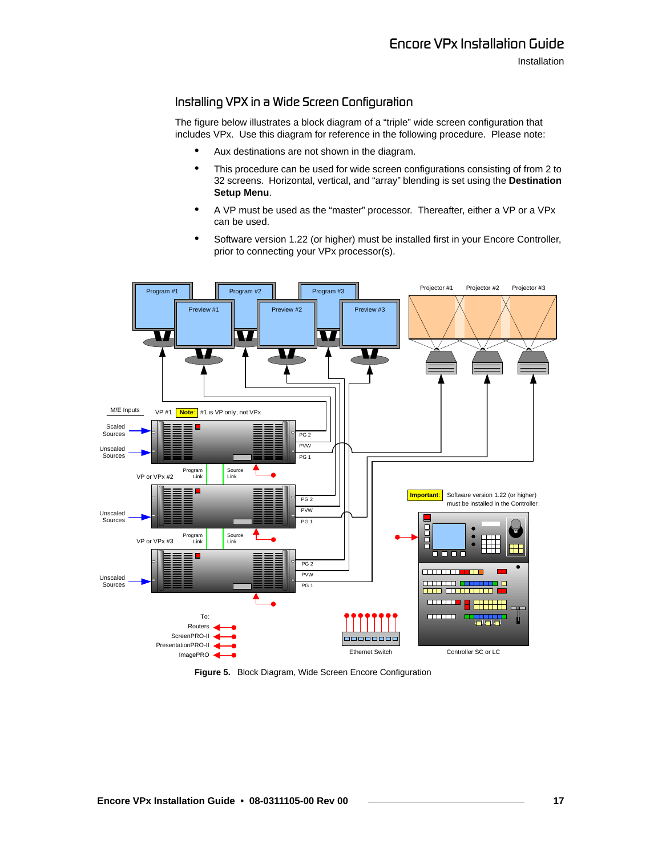### <span id="page-16-0"></span>Installing VPX in a Wide Screen Configuration

The figure below illustrates a block diagram of a "triple" wide screen configuration that includes VPx. Use this diagram for reference in the following procedure. Please note:

- **•** Aux destinations are not shown in the diagram.
- **•** This procedure can be used for wide screen configurations consisting of from 2 to 32 screens. Horizontal, vertical, and "array" blending is set using the **Destination Setup Menu**.
- **•** A VP must be used as the "master" processor. Thereafter, either a VP or a VPx can be used.
- **•** Software version 1.22 (or higher) must be installed first in your Encore Controller, prior to connecting your VPx processor(s).



**Figure 5.** Block Diagram, Wide Screen Encore Configuration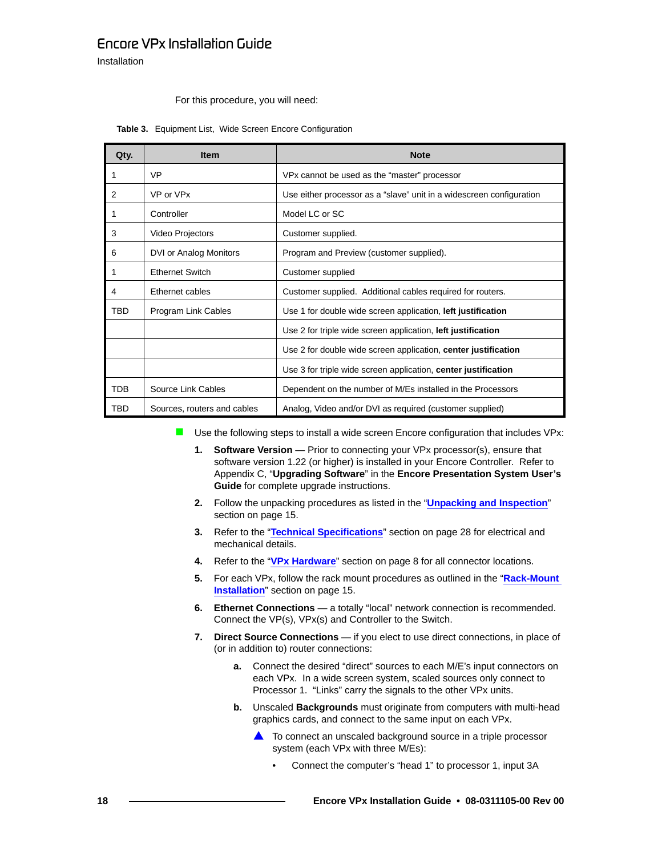### *båÅçêÉ=smñ=fåëí~ää~íáçå=dìáÇÉ*

Installation

#### For this procedure, you will need:

| Qty.       | <b>Item</b>                 | <b>Note</b>                                                          |
|------------|-----------------------------|----------------------------------------------------------------------|
|            | <b>VP</b>                   | VPx cannot be used as the "master" processor                         |
| 2          | VP or VPx                   | Use either processor as a "slave" unit in a widescreen configuration |
|            | Controller                  | Model LC or SC                                                       |
| 3          | Video Projectors            | Customer supplied.                                                   |
| 6          | DVI or Analog Monitors      | Program and Preview (customer supplied).                             |
|            | <b>Ethernet Switch</b>      | Customer supplied                                                    |
| 4          | Ethernet cables             | Customer supplied. Additional cables required for routers.           |
| TBD        | Program Link Cables         | Use 1 for double wide screen application, left justification         |
|            |                             | Use 2 for triple wide screen application, left justification         |
|            |                             | Use 2 for double wide screen application, center justification       |
|            |                             | Use 3 for triple wide screen application, center justification       |
| <b>TDB</b> | Source Link Cables          | Dependent on the number of M/Es installed in the Processors          |
| TBD        | Sources, routers and cables | Analog, Video and/or DVI as required (customer supplied)             |

#### **Table 3.** Equipment List, Wide Screen Encore Configuration

Use the following steps to install a wide screen Encore configuration that includes VPx:

- **1.** Software Version Prior to connecting your VPx processor(s), ensure that software version 1.22 (or higher) is installed in your Encore Controller. Refer to Appendix C, "**Upgrading Software**" in the **Encore Presentation System User's Guide** for complete upgrade instructions.
- **2.** Follow the unpacking procedures as listed in the "**[Unpacking and Inspection](#page-14-2)**" section on [page 15.](#page-14-2)
- **3.** Refer to the "**[Technical Specifications](#page-27-0)**" section on [page 28](#page-27-0) for electrical and mechanical details.
- **4.** Refer to the "**[VPx Hardware](#page-7-0)**" section on [page 8](#page-7-0) for all connector locations.
- **5.** For each VPx, follow the rack mount procedures as outlined in the "**[Rack-Mount](#page-14-1)  [Installation](#page-14-1)**" section on [page 15.](#page-14-1)
- **6. Ethernet Connections** a totally "local" network connection is recommended. Connect the VP(s), VPx(s) and Controller to the Switch.
- **7.** Direct Source Connections if you elect to use direct connections, in place of (or in addition to) router connections:
	- **a.** Connect the desired "direct" sources to each M/E's input connectors on each VPx. In a wide screen system, scaled sources only connect to Processor 1. "Links" carry the signals to the other VPx units.
	- **b.** Unscaled **Backgrounds** must originate from computers with multi-head graphics cards, and connect to the same input on each VPx.
		- $\triangle$  To connect an unscaled background source in a triple processor system (each VPx with three M/Es):
			- Connect the computer's "head 1" to processor 1, input 3A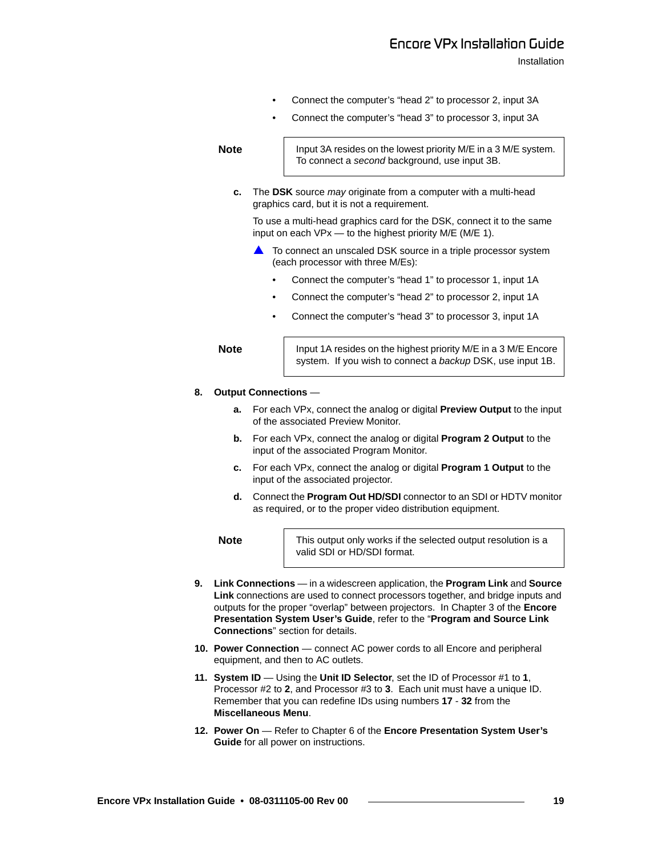Installation

- Connect the computer's "head 2" to processor 2, input 3A
- Connect the computer's "head 3" to processor 3, input 3A

**Note** Input 3A resides on the lowest priority M/E in a 3 M/E system. To connect a *second* background, use input 3B.

**c.** The **DSK** source *may* originate from a computer with a multi-head graphics card, but it is not a requirement.

To use a multi-head graphics card for the DSK, connect it to the same input on each VPx — to the highest priority M/E (M/E 1).

- To connect an unscaled DSK source in a triple processor system (each processor with three M/Es):
	- Connect the computer's "head 1" to processor 1, input 1A
	- Connect the computer's "head 2" to processor 2, input 1A
	- Connect the computer's "head 3" to processor 3, input 1A

**Note** Input 1A resides on the highest priority M/E in a 3 M/E Encore

# system. If you wish to connect a *backup* DSK, use input 1B.

#### **8. Output Connections** —

- **a.** For each VPx, connect the analog or digital **Preview Output** to the input of the associated Preview Monitor.
- **b.** For each VPx, connect the analog or digital **Program 2 Output** to the input of the associated Program Monitor.
- **c.** For each VPx, connect the analog or digital **Program 1 Output** to the input of the associated projector.
- **d.** Connect the **Program Out HD/SDI** connector to an SDI or HDTV monitor as required, or to the proper video distribution equipment.

**Note** This output only works if the selected output resolution is a valid SDI or HD/SDI format.

- **9. Link Connections** in a widescreen application, the **Program Link** and **Source Link** connections are used to connect processors together, and bridge inputs and outputs for the proper "overlap" between projectors. In Chapter 3 of the **Encore Presentation System User's Guide**, refer to the "**Program and Source Link Connections**" section for details.
- **10. Power Connection** connect AC power cords to all Encore and peripheral equipment, and then to AC outlets.
- **11. System ID** Using the **Unit ID Selector**, set the ID of Processor #1 to **1**, Processor #2 to **2**, and Processor #3 to **3**. Each unit must have a unique ID. Remember that you can redefine IDs using numbers **17** - **32** from the **Miscellaneous Menu**.
- **12. Power On** Refer to Chapter 6 of the **Encore Presentation System User's Guide** for all power on instructions.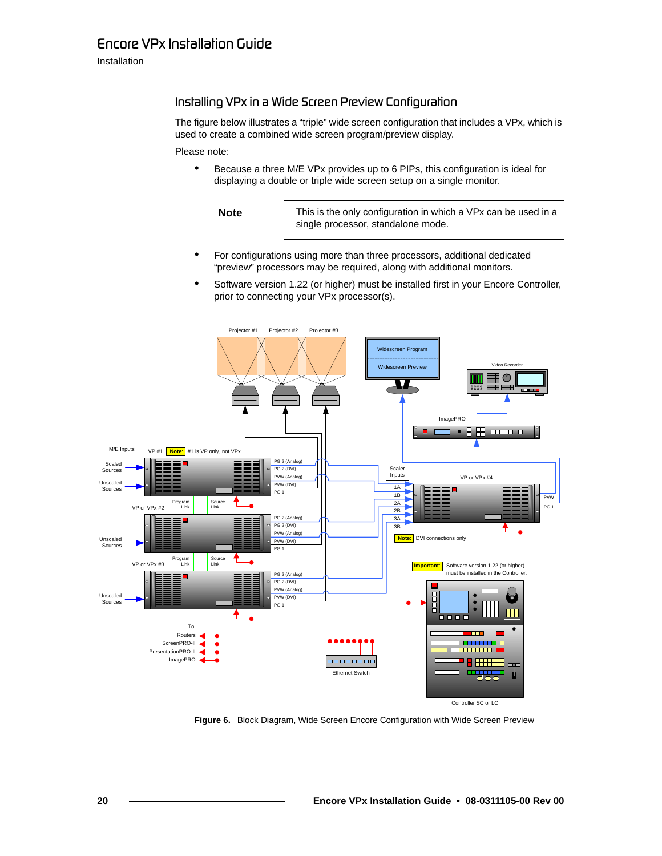### Installation

### <span id="page-19-0"></span>Installing VPx in a Wide Screen Preview Configuration

The figure below illustrates a "triple" wide screen configuration that includes a VPx, which is used to create a combined wide screen program/preview display.

Please note:

**•** Because a three M/E VPx provides up to 6 PIPs, this configuration is ideal for displaying a double or triple wide screen setup on a single monitor.

**Note** This is the only configuration in which a VPx can be used in a single processor, standalone mode.

- **•** For configurations using more than three processors, additional dedicated "preview" processors may be required, along with additional monitors.
- **•** Software version 1.22 (or higher) must be installed first in your Encore Controller, prior to connecting your VPx processor(s).



**Figure 6.** Block Diagram, Wide Screen Encore Configuration with Wide Screen Preview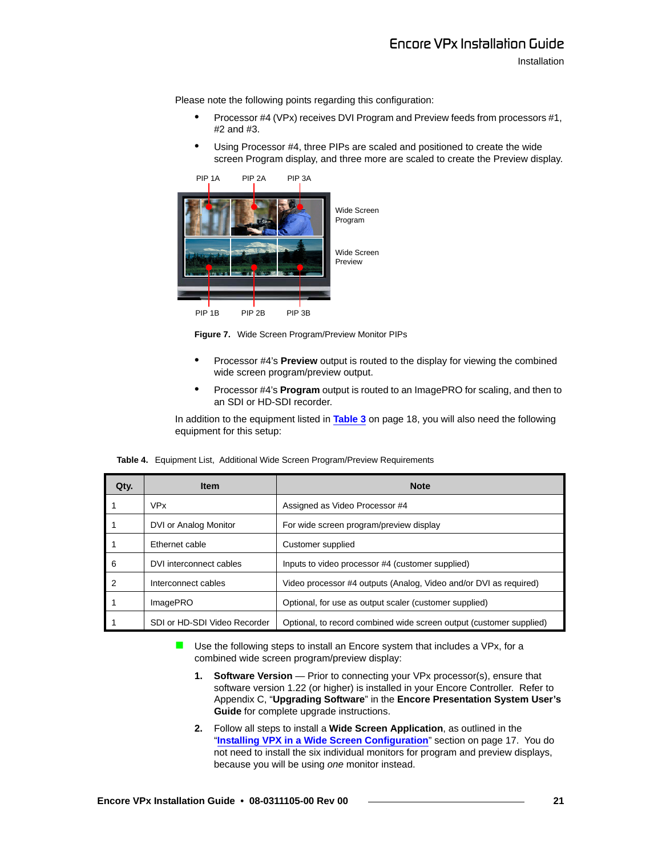Please note the following points regarding this configuration:

- **•** Processor #4 (VPx) receives DVI Program and Preview feeds from processors #1, #2 and #3.
- **•** Using Processor #4, three PIPs are scaled and positioned to create the wide screen Program display, and three more are scaled to create the Preview display.



**Figure 7.** Wide Screen Program/Preview Monitor PIPs

- **•** Processor #4's **Preview** output is routed to the display for viewing the combined wide screen program/preview output.
- **•** Processor #4's **Program** output is routed to an ImagePRO for scaling, and then to an SDI or HD-SDI recorder.

In addition to the equipment listed in **Table 3** on page 18, you will also need the following equipment for this setup:

|  |  |  | Table 4. Equipment List, Additional Wide Screen Program/Preview Requirements |  |
|--|--|--|------------------------------------------------------------------------------|--|
|--|--|--|------------------------------------------------------------------------------|--|

| Qty. | <b>Item</b>                  | <b>Note</b>                                                         |
|------|------------------------------|---------------------------------------------------------------------|
|      | <b>VPx</b>                   | Assigned as Video Processor #4                                      |
|      | DVI or Analog Monitor        | For wide screen program/preview display                             |
|      | Ethernet cable               | Customer supplied                                                   |
| 6    | DVI interconnect cables      | Inputs to video processor #4 (customer supplied)                    |
| 2    | Interconnect cables          | Video processor #4 outputs (Analog, Video and/or DVI as required)   |
|      | ImagePRO                     | Optional, for use as output scaler (customer supplied)              |
|      | SDI or HD-SDI Video Recorder | Optional, to record combined wide screen output (customer supplied) |

- $\blacksquare$  Use the following steps to install an Encore system that includes a VPx, for a combined wide screen program/preview display:
	- **1. Software Version** Prior to connecting your VPx processor(s), ensure that software version 1.22 (or higher) is installed in your Encore Controller. Refer to Appendix C, "**Upgrading Software**" in the **Encore Presentation System User's Guide** for complete upgrade instructions.
	- **2.** Follow all steps to install a **Wide Screen Application**, as outlined in the "**[Installing VPX in a Wide Screen Configuration](#page-16-0)**" section on [page 17.](#page-16-0) You do not need to install the six individual monitors for program and preview displays, because you will be using *one* monitor instead.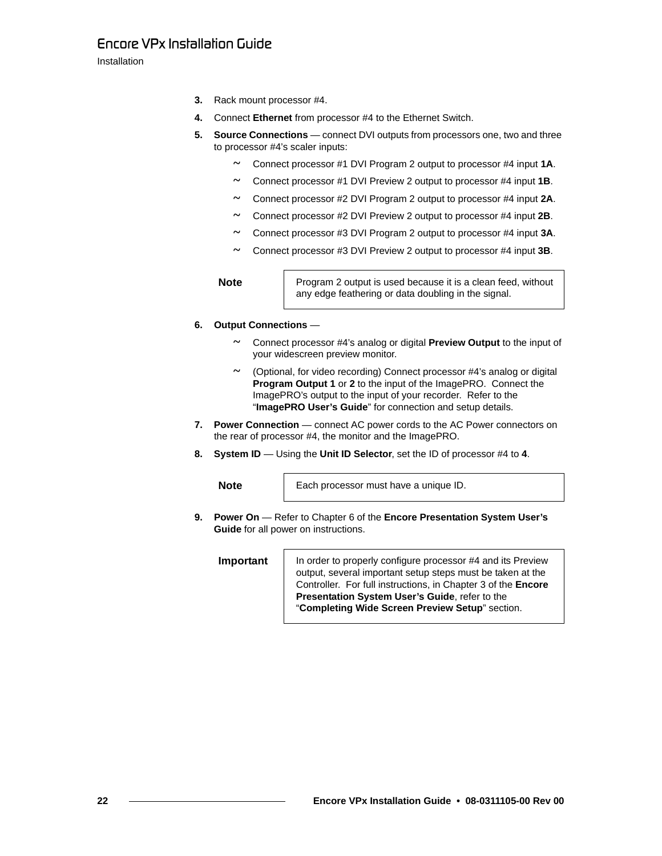Installation

- **3.** Rack mount processor #4.
- **4.** Connect **Ethernet** from processor #4 to the Ethernet Switch.
- **5.** Source Connections connect DVI outputs from processors one, two and three to processor #4's scaler inputs:
	- **~** Connect processor #1 DVI Program 2 output to processor #4 input **1A**.
	- **~** Connect processor #1 DVI Preview 2 output to processor #4 input **1B**.
	- **~** Connect processor #2 DVI Program 2 output to processor #4 input **2A**.
	- **~** Connect processor #2 DVI Preview 2 output to processor #4 input **2B**.
	- **~** Connect processor #3 DVI Program 2 output to processor #4 input **3A**.
	- **~** Connect processor #3 DVI Preview 2 output to processor #4 input **3B**.

**Note** Program 2 output is used because it is a clean feed, without any edge feathering or data doubling in the signal.

- **6. Output Connections**
	- **~** Connect processor #4's analog or digital **Preview Output** to the input of your widescreen preview monitor.
	- **~** (Optional, for video recording) Connect processor #4's analog or digital **Program Output 1** or **2** to the input of the ImagePRO. Connect the ImagePRO's output to the input of your recorder. Refer to the "**ImagePRO User's Guide**" for connection and setup details.
- **7. Power Connection** connect AC power cords to the AC Power connectors on the rear of processor #4, the monitor and the ImagePRO.
- **8. System ID** Using the **Unit ID Selector**, set the ID of processor #4 to **4**.

**Note** Each processor must have a unique ID.

**9. Power On** — Refer to Chapter 6 of the **Encore Presentation System User's Guide** for all power on instructions.

**Important** | In order to properly configure processor #4 and its Preview output, several important setup steps must be taken at the Controller. For full instructions, in Chapter 3 of the **Encore Presentation System User's Guide**, refer to the "**Completing Wide Screen Preview Setup**" section.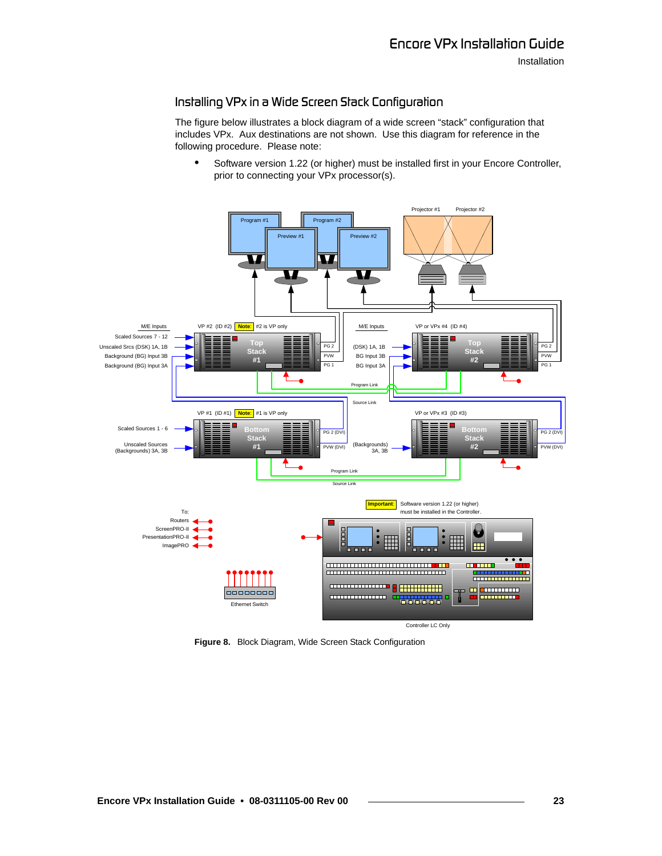Installation

### <span id="page-22-0"></span>Installing VPx in a Wide Screen Stack Configuration

The figure below illustrates a block diagram of a wide screen "stack" configuration that includes VPx. Aux destinations are not shown. Use this diagram for reference in the following procedure. Please note:

**•** Software version 1.22 (or higher) must be installed first in your Encore Controller, prior to connecting your VPx processor(s).



**Figure 8.** Block Diagram, Wide Screen Stack Configuration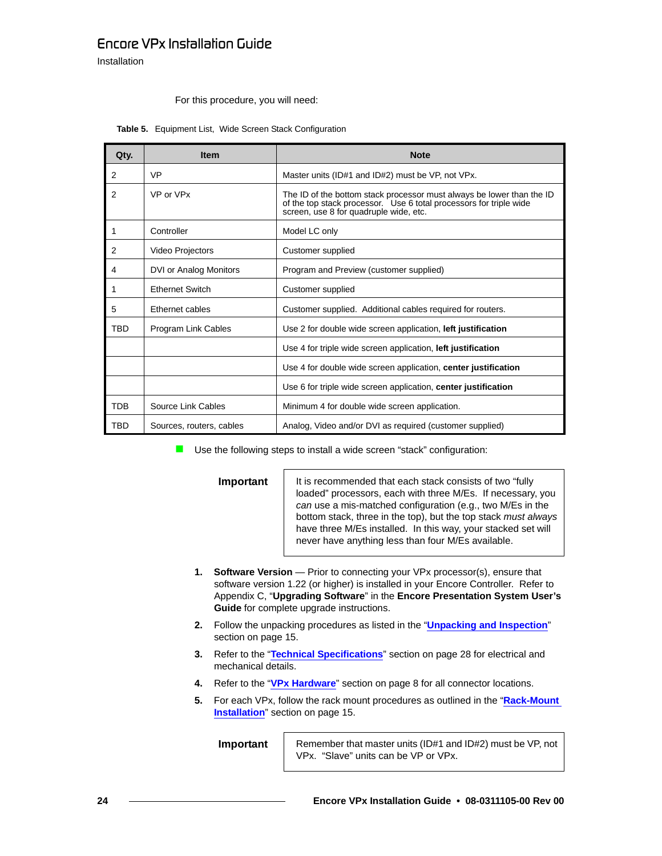### *båÅçêÉ=smñ=fåëí~ää~íáçå=dìáÇÉ*

Installation

#### For this procedure, you will need:

| Qty.           | <b>Item</b>              | <b>Note</b>                                                                                                                                                                           |  |
|----------------|--------------------------|---------------------------------------------------------------------------------------------------------------------------------------------------------------------------------------|--|
| $\overline{2}$ | <b>VP</b>                | Master units (ID#1 and ID#2) must be VP, not VPx.                                                                                                                                     |  |
| 2              | VP or VPx                | The ID of the bottom stack processor must always be lower than the ID<br>of the top stack processor. Use 6 total processors for triple wide<br>screen, use 8 for quadruple wide, etc. |  |
| 1              | Controller               | Model LC only                                                                                                                                                                         |  |
| 2              | Video Projectors         | Customer supplied                                                                                                                                                                     |  |
| 4              | DVI or Analog Monitors   | Program and Preview (customer supplied)                                                                                                                                               |  |
| 1              | <b>Fthernet Switch</b>   | Customer supplied                                                                                                                                                                     |  |
| 5              | Ethernet cables          | Customer supplied. Additional cables required for routers.                                                                                                                            |  |
| <b>TBD</b>     | Program Link Cables      | Use 2 for double wide screen application, left justification                                                                                                                          |  |
|                |                          | Use 4 for triple wide screen application, left justification                                                                                                                          |  |
|                |                          | Use 4 for double wide screen application, center justification                                                                                                                        |  |
|                |                          | Use 6 for triple wide screen application, center justification                                                                                                                        |  |
| <b>TDB</b>     | Source Link Cables       | Minimum 4 for double wide screen application.                                                                                                                                         |  |
| <b>TBD</b>     | Sources, routers, cables | Analog, Video and/or DVI as required (customer supplied)                                                                                                                              |  |

#### **Table 5.** Equipment List, Wide Screen Stack Configuration

■ Use the following steps to install a wide screen "stack" configuration:

**Important** | It is recommended that each stack consists of two "fully" loaded" processors, each with three M/Es. If necessary, you *can* use a mis-matched configuration (e.g., two M/Es in the bottom stack, three in the top), but the top stack *must always*  have three M/Es installed. In this way, your stacked set will never have anything less than four M/Es available.

- **1. Software Version** Prior to connecting your VPx processor(s), ensure that software version 1.22 (or higher) is installed in your Encore Controller. Refer to Appendix C, "**Upgrading Software**" in the **Encore Presentation System User's Guide** for complete upgrade instructions.
- **2.** Follow the unpacking procedures as listed in the "**[Unpacking and Inspection](#page-14-2)**" section on [page 15.](#page-14-2)
- **3.** Refer to the "**[Technical Specifications](#page-27-0)**" section on [page 28](#page-27-0) for electrical and mechanical details.
- **4.** Refer to the "**[VPx Hardware](#page-7-0)**" section on [page 8](#page-7-0) for all connector locations.
- **5.** For each VPx, follow the rack mount procedures as outlined in the "**[Rack-Mount](#page-14-1)  [Installation](#page-14-1)**" section on [page 15.](#page-14-1)

**Important** | Remember that master units (ID#1 and ID#2) must be VP, not VPx. "Slave" units can be VP or VPx.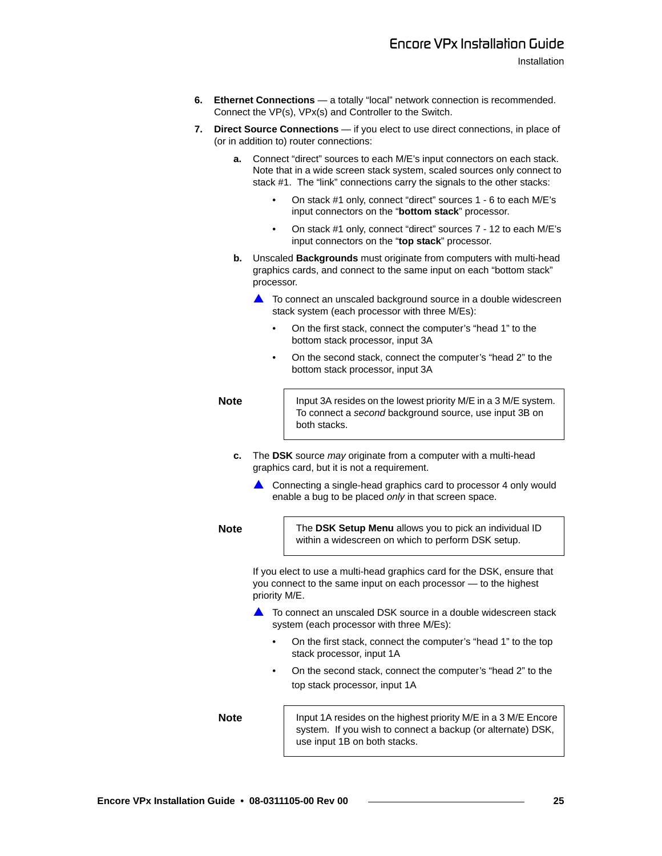- **6. Ethernet Connections** a totally "local" network connection is recommended. Connect the VP(s), VPx(s) and Controller to the Switch.
- **7.** Direct Source Connections if you elect to use direct connections, in place of (or in addition to) router connections:
	- **a.** Connect "direct" sources to each M/E's input connectors on each stack. Note that in a wide screen stack system, scaled sources only connect to stack #1. The "link" connections carry the signals to the other stacks:
		- On stack #1 only, connect "direct" sources 1 6 to each M/E's input connectors on the "**bottom stack**" processor.
		- On stack #1 only, connect "direct" sources 7 12 to each M/E's input connectors on the "**top stack**" processor.
	- **b.** Unscaled **Backgrounds** must originate from computers with multi-head graphics cards, and connect to the same input on each "bottom stack" processor.
		- $\triangle$  To connect an unscaled background source in a double widescreen stack system (each processor with three M/Es):
			- On the first stack, connect the computer's "head 1" to the bottom stack processor, input 3A
			- On the second stack, connect the computer's "head 2" to the bottom stack processor, input 3A

**Note** Input 3A resides on the lowest priority M/E in a 3 M/E system. To connect a *second* background source, use input 3B on both stacks.

- **c.** The **DSK** source *may* originate from a computer with a multi-head graphics card, but it is not a requirement.
	- $\triangle$  Connecting a single-head graphics card to processor 4 only would enable a bug to be placed *only* in that screen space.

**Note** The DSK Setup Menu allows you to pick an individual ID within a widescreen on which to perform DSK setup.

> If you elect to use a multi-head graphics card for the DSK, ensure that you connect to the same input on each processor — to the highest priority M/E.

- $\triangle$  To connect an unscaled DSK source in a double widescreen stack system (each processor with three M/Es):
	- On the first stack, connect the computer's "head 1" to the top stack processor, input 1A
	- On the second stack, connect the computer's "head 2" to the top stack processor, input 1A

**Note** Input 1A resides on the highest priority M/E in a 3 M/E Encore system. If you wish to connect a backup (or alternate) DSK, use input 1B on both stacks.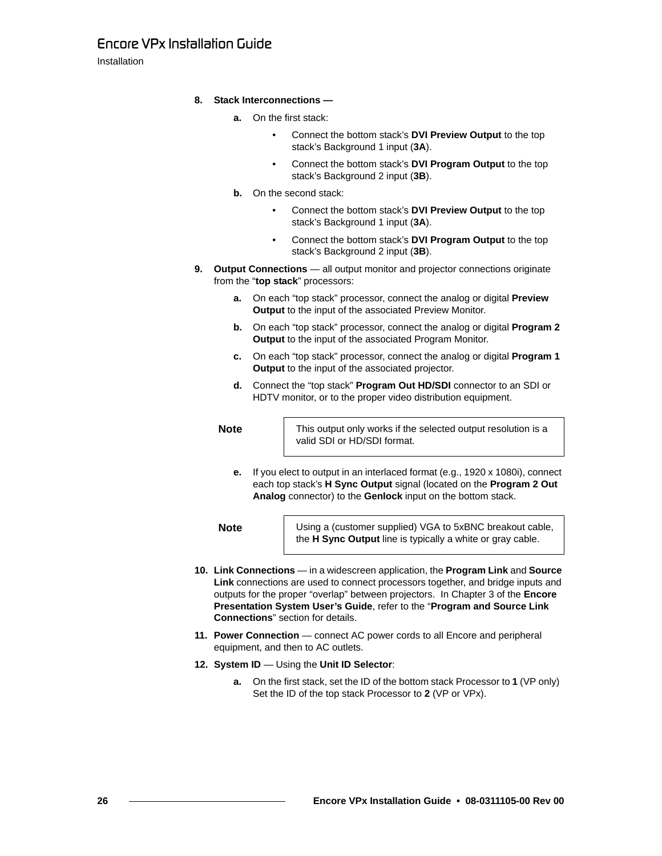Installation

- **8. Stack Interconnections** 
	- **a.** On the first stack:
		- Connect the bottom stack's **DVI Preview Output** to the top stack's Background 1 input (**3A**).
		- Connect the bottom stack's **DVI Program Output** to the top stack's Background 2 input (**3B**).
	- **b.** On the second stack:
		- Connect the bottom stack's **DVI Preview Output** to the top stack's Background 1 input (**3A**).
		- Connect the bottom stack's **DVI Program Output** to the top stack's Background 2 input (**3B**).
- **9. Output Connections** all output monitor and projector connections originate from the "**top stack**" processors:
	- **a.** On each "top stack" processor, connect the analog or digital **Preview Output** to the input of the associated Preview Monitor.
	- **b.** On each "top stack" processor, connect the analog or digital **Program 2 Output** to the input of the associated Program Monitor.
	- **c.** On each "top stack" processor, connect the analog or digital **Program 1 Output** to the input of the associated projector.
	- **d.** Connect the "top stack" **Program Out HD/SDI** connector to an SDI or HDTV monitor, or to the proper video distribution equipment.

**Note** This output only works if the selected output resolution is a valid SDI or HD/SDI format.

**e.** If you elect to output in an interlaced format (e.g., 1920 x 1080i), connect each top stack's **H Sync Output** signal (located on the **Program 2 Out Analog** connector) to the **Genlock** input on the bottom stack.

**Note** Using a (customer supplied) VGA to 5xBNC breakout cable, the **H Sync Output** line is typically a white or gray cable.

- **10. Link Connections** in a widescreen application, the **Program Link** and **Source Link** connections are used to connect processors together, and bridge inputs and outputs for the proper "overlap" between projectors. In Chapter 3 of the **Encore Presentation System User's Guide**, refer to the "**Program and Source Link Connections**" section for details.
- **11. Power Connection** connect AC power cords to all Encore and peripheral equipment, and then to AC outlets.
- **12. System ID** Using the **Unit ID Selector**:
	- **a.** On the first stack, set the ID of the bottom stack Processor to **1** (VP only) Set the ID of the top stack Processor to **2** (VP or VPx).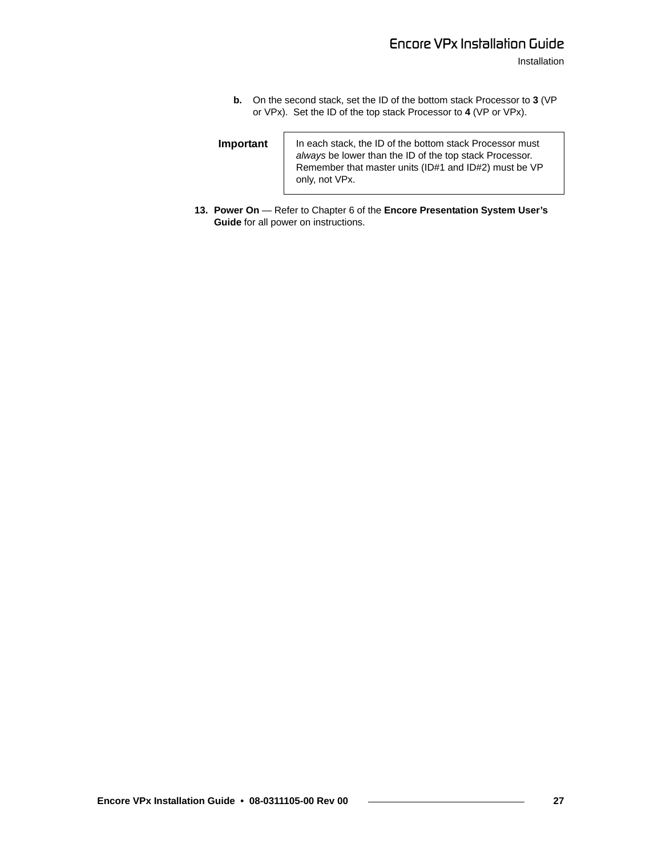**b.** On the second stack, set the ID of the bottom stack Processor to **3** (VP or VPx). Set the ID of the top stack Processor to **4** (VP or VPx).

| Important | In each stack, the ID of the bottom stack Processor must<br>always be lower than the ID of the top stack Processor.<br>Remember that master units (ID#1 and ID#2) must be VP<br>only, not VPx. |
|-----------|------------------------------------------------------------------------------------------------------------------------------------------------------------------------------------------------|
|-----------|------------------------------------------------------------------------------------------------------------------------------------------------------------------------------------------------|

 $\mathbf{r}$ 

**13. Power On** — Refer to Chapter 6 of the **Encore Presentation System User's Guide** for all power on instructions.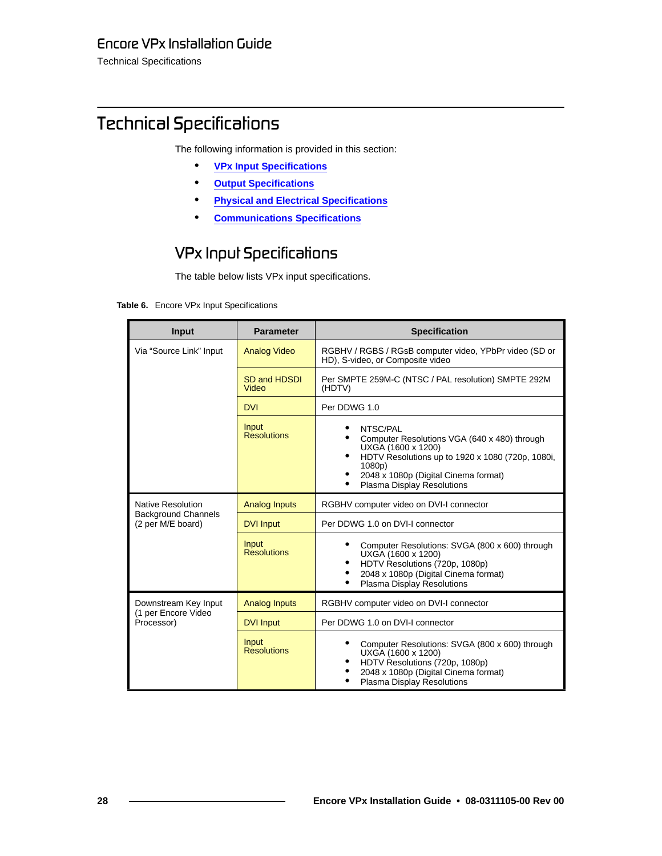Technical Specifications

# <span id="page-27-0"></span>*qÉÅÜåáÅ~ä=péÉÅáÑáÅ~íáçåë*

The following information is provided in this section:

- **• [VPx Input Specifications](#page-27-1)**
- **• [Output Specifications](#page-28-0)**
- **• [Physical and Electrical Specifications](#page-29-0)**
- **• [Communications Specifications](#page-29-1)**

### <span id="page-27-1"></span>*smñ=fåéìí=péÉÅáÑáÅ~íáçåë=*

The table below lists VPx input specifications.

#### **Table 6.** Encore VPx Input Specifications

| <b>Input</b>                                    | <b>Parameter</b>            | <b>Specification</b>                                                                                                                                                                                                            |
|-------------------------------------------------|-----------------------------|---------------------------------------------------------------------------------------------------------------------------------------------------------------------------------------------------------------------------------|
| Via "Source Link" Input                         | <b>Analog Video</b>         | RGBHV / RGBS / RGsB computer video, YPbPr video (SD or<br>HD), S-video, or Composite video                                                                                                                                      |
|                                                 | SD and HDSDI<br>Video       | Per SMPTE 259M-C (NTSC / PAL resolution) SMPTE 292M<br>(HDTV)                                                                                                                                                                   |
|                                                 | <b>DVI</b>                  | Per DDWG 1.0                                                                                                                                                                                                                    |
|                                                 | Input<br><b>Resolutions</b> | NTSC/PAL<br>Computer Resolutions VGA (640 x 480) through<br>UXGA (1600 x 1200)<br>$\bullet$<br>HDTV Resolutions up to 1920 x 1080 (720p, 1080i,<br>1080p)<br>2048 x 1080p (Digital Cinema format)<br>Plasma Display Resolutions |
| Native Resolution                               | <b>Analog Inputs</b>        | RGBHV computer video on DVI-I connector                                                                                                                                                                                         |
| <b>Background Channels</b><br>(2 per M/E board) | <b>DVI Input</b>            | Per DDWG 1.0 on DVI-I connector                                                                                                                                                                                                 |
|                                                 | Input<br>Resolutions        | Computer Resolutions: SVGA (800 x 600) through<br>UXGA (1600 x 1200)<br>HDTV Resolutions (720p, 1080p)<br>٠<br>2048 x 1080p (Digital Cinema format)<br>Plasma Display Resolutions                                               |
| Downstream Key Input                            | <b>Analog Inputs</b>        | RGBHV computer video on DVI-I connector                                                                                                                                                                                         |
| (1 per Encore Video<br>Processor)               | <b>DVI Input</b>            | Per DDWG 1.0 on DVI-I connector                                                                                                                                                                                                 |
|                                                 | Input<br>Resolutions        | Computer Resolutions: SVGA (800 x 600) through<br>UXGA (1600 x 1200)<br>HDTV Resolutions (720p, 1080p)<br>$\bullet$<br>2048 x 1080p (Digital Cinema format)<br>Plasma Display Resolutions                                       |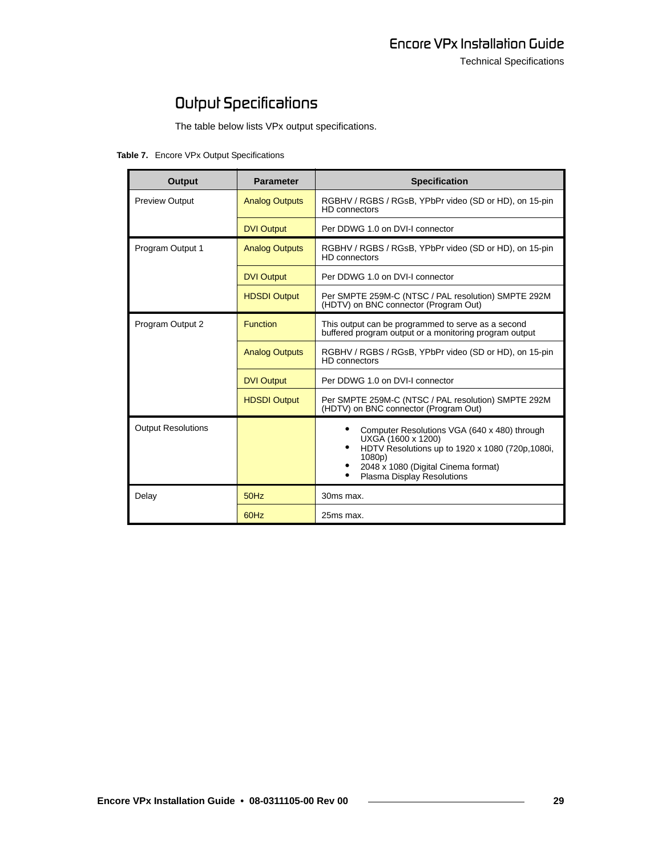# <span id="page-28-0"></span>**O**ułpuł Specifications

The table below lists VPx output specifications.

**Table 7.** Encore VPx Output Specifications

| Output                    | <b>Parameter</b>      | <b>Specification</b>                                                                                                                                                                                                     |
|---------------------------|-----------------------|--------------------------------------------------------------------------------------------------------------------------------------------------------------------------------------------------------------------------|
| <b>Preview Output</b>     | <b>Analog Outputs</b> | RGBHV / RGBS / RGsB, YPbPr video (SD or HD), on 15-pin<br><b>HD</b> connectors                                                                                                                                           |
|                           | <b>DVI Output</b>     | Per DDWG 1.0 on DVI-I connector                                                                                                                                                                                          |
| Program Output 1          | <b>Analog Outputs</b> | RGBHV / RGBS / RGsB, YPbPr video (SD or HD), on 15-pin<br><b>HD</b> connectors                                                                                                                                           |
|                           | <b>DVI Output</b>     | Per DDWG 1.0 on DVI-I connector                                                                                                                                                                                          |
|                           | <b>HDSDI Output</b>   | Per SMPTE 259M-C (NTSC / PAL resolution) SMPTE 292M<br>(HDTV) on BNC connector (Program Out)                                                                                                                             |
| Program Output 2          | <b>Function</b>       | This output can be programmed to serve as a second<br>buffered program output or a monitoring program output                                                                                                             |
|                           | <b>Analog Outputs</b> | RGBHV / RGBS / RGsB, YPbPr video (SD or HD), on 15-pin<br><b>HD</b> connectors                                                                                                                                           |
|                           | <b>DVI Output</b>     | Per DDWG 1.0 on DVI-I connector                                                                                                                                                                                          |
|                           | <b>HDSDI Output</b>   | Per SMPTE 259M-C (NTSC / PAL resolution) SMPTE 292M<br>(HDTV) on BNC connector (Program Out)                                                                                                                             |
| <b>Output Resolutions</b> |                       | Computer Resolutions VGA (640 x 480) through<br>UXGA (1600 x 1200)<br>$\bullet$<br>HDTV Resolutions up to 1920 x 1080 (720p,1080i,<br>1080p)<br>2048 x 1080 (Digital Cinema format)<br><b>Plasma Display Resolutions</b> |
| Delay                     | 50Hz                  | 30ms max.                                                                                                                                                                                                                |
|                           | 60Hz                  | 25ms max.                                                                                                                                                                                                                |